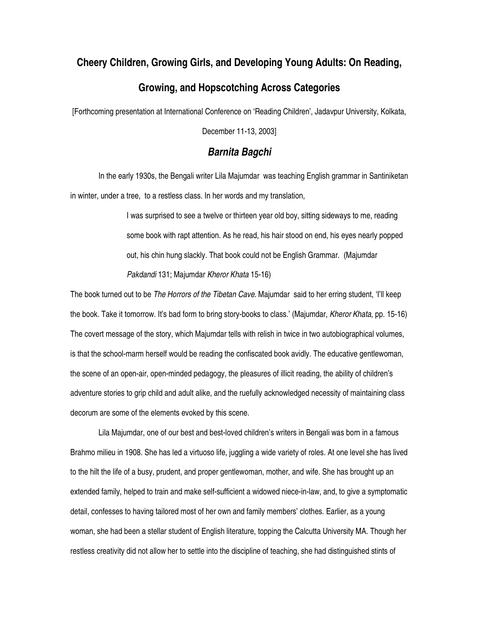## **Cheery Children, Growing Girls, and Developing Young Adults: On Reading,**

## **Growing, and Hopscotching Across Categories**

[Forthcoming presentation at International Conference on 'Reading Children', Jadavpur University, Kolkata,

December 11-13, 2003]

## *Barnita Bagchi*

In the early 1930s, the Bengali writer Lila Majumdar was teaching English grammar in Santiniketan in winter, under a tree, to a restless class. In her words and my translation,

> I was surprised to see a twelve or thirteen year old boy, sitting sideways to me, reading some book with rapt attention. As he read, his hair stood on end, his eyes nearly popped out, his chin hung slackly. That book could not be English Grammar. (Majumdar *Pakdandi* 131; Majumdar *Kheror Khata* 15-16)

The book turned out to be *The Horrors of the Tibetan Cave*. Majumdar said to her erring student, 'I'll keep the book. Take it tomorrow. It's bad form to bring story-books to class.' (Majumdar, *Kheror Khata*, pp. 15-16) The covert message of the story, which Majumdar tells with relish in twice in two autobiographical volumes, is that the school-marm herself would be reading the confiscated book avidly. The educative gentlewoman, the scene of an open-air, open-minded pedagogy, the pleasures of illicit reading, the ability of children's adventure stories to grip child and adult alike, and the ruefully acknowledged necessity of maintaining class decorum are some of the elements evoked by this scene.

Lila Majumdar, one of our best and best-loved children's writers in Bengali was born in a famous Brahmo milieu in 1908. She has led a virtuoso life, juggling a wide variety of roles. At one level she has lived to the hilt the life of a busy, prudent, and proper gentlewoman, mother, and wife. She has brought up an extended family, helped to train and make self-sufficient a widowed niece-in-law, and, to give a symptomatic detail, confesses to having tailored most of her own and family members' clothes. Earlier, as a young woman, she had been a stellar student of English literature, topping the Calcutta University MA. Though her restless creativity did not allow her to settle into the discipline of teaching, she had distinguished stints of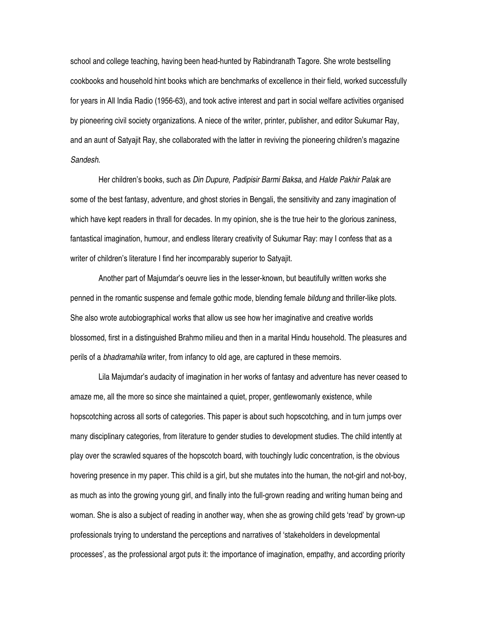school and college teaching, having been head-hunted by Rabindranath Tagore. She wrote bestselling cookbooks and household hint books which are benchmarks of excellence in their field, worked successfully for years in All India Radio (1956-63), and took active interest and part in social welfare activities organised by pioneering civil society organizations. A niece of the writer, printer, publisher, and editor Sukumar Ray, and an aunt of Satyajit Ray, she collaborated with the latter in reviving the pioneering children's magazine *Sandesh*.

Her children's books, such as *Din Dupure*, *Padipisir Barmi Baksa*, and *Halde Pakhir Palak* are some of the best fantasy, adventure, and ghost stories in Bengali, the sensitivity and zany imagination of which have kept readers in thrall for decades. In my opinion, she is the true heir to the glorious zaniness, fantastical imagination, humour, and endless literary creativity of Sukumar Ray: may I confess that as a writer of children's literature I find her incomparably superior to Satyajit.

Another part of Majumdar's oeuvre lies in the lesser-known, but beautifully written works she penned in the romantic suspense and female gothic mode, blending female *bildung* and thriller-like plots. She also wrote autobiographical works that allow us see how her imaginative and creative worlds blossomed, first in a distinguished Brahmo milieu and then in a marital Hindu household. The pleasures and perils of a *bhadramahila* writer, from infancy to old age, are captured in these memoirs.

Lila Majumdar's audacity of imagination in her works of fantasy and adventure has never ceased to amaze me, all the more so since she maintained a quiet, proper, gentlewomanly existence, while hopscotching across all sorts of categories. This paper is about such hopscotching, and in turn jumps over many disciplinary categories, from literature to gender studies to development studies. The child intently at play over the scrawled squares of the hopscotch board, with touchingly ludic concentration, is the obvious hovering presence in my paper. This child is a girl, but she mutates into the human, the not-girl and not-boy, as much as into the growing young girl, and finally into the full-grown reading and writing human being and woman. She is also a subject of reading in another way, when she as growing child gets 'read' by grown-up professionals trying to understand the perceptions and narratives of 'stakeholders in developmental processes', as the professional argot puts it: the importance of imagination, empathy, and according priority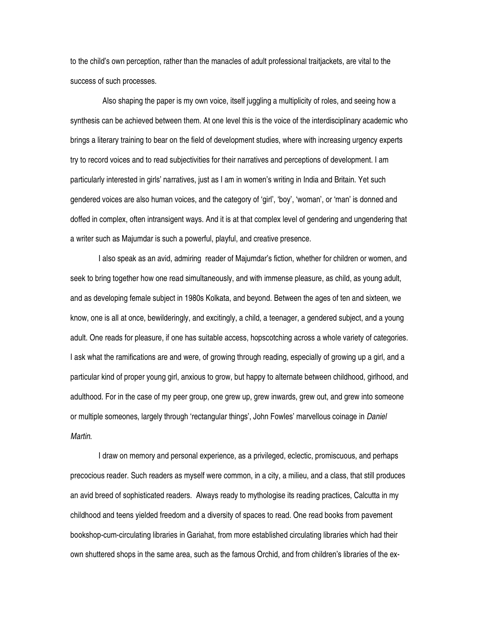to the child's own perception, rather than the manacles of adult professional traitjackets, are vital to the success of such processes.

Also shaping the paper is my own voice, itself juggling a multiplicity of roles, and seeing how a synthesis can be achieved between them. At one level this is the voice of the interdisciplinary academic who brings a literary training to bear on the field of development studies, where with increasing urgency experts try to record voices and to read subjectivities for their narratives and perceptions of development. I am particularly interested in girls' narratives, just as I am in women's writing in India and Britain. Yet such gendered voices are also human voices, and the category of 'girl', 'boy', 'woman', or 'man' is donned and doffed in complex, often intransigent ways. And it is at that complex level of gendering and ungendering that a writer such as Majumdar is such a powerful, playful, and creative presence.

I also speak as an avid, admiring reader of Majumdar's fiction, whether for children or women, and seek to bring together how one read simultaneously, and with immense pleasure, as child, as young adult, and as developing female subject in 1980s Kolkata, and beyond. Between the ages of ten and sixteen, we know, one is all at once, bewilderingly, and excitingly, a child, a teenager, a gendered subject, and a young adult. One reads for pleasure, if one has suitable access, hopscotching across a whole variety of categories. I ask what the ramifications are and were, of growing through reading, especially of growing up a girl, and a particular kind of proper young girl, anxious to grow, but happy to alternate between childhood, girlhood, and adulthood. For in the case of my peer group, one grew up, grew inwards, grew out, and grew into someone or multiple someones, largely through 'rectangular things', John Fowles' marvellous coinage in *Daniel Martin*.

I draw on memory and personal experience, as a privileged, eclectic, promiscuous, and perhaps precocious reader. Such readers as myself were common, in a city, a milieu, and a class, that still produces an avid breed of sophisticated readers. Always ready to mythologise its reading practices, Calcutta in my childhood and teens yielded freedom and a diversity of spaces to read. One read books from pavement bookshop-cum-circulating libraries in Gariahat, from more established circulating libraries which had their own shuttered shops in the same area, such as the famous Orchid, and from children's libraries of the ex-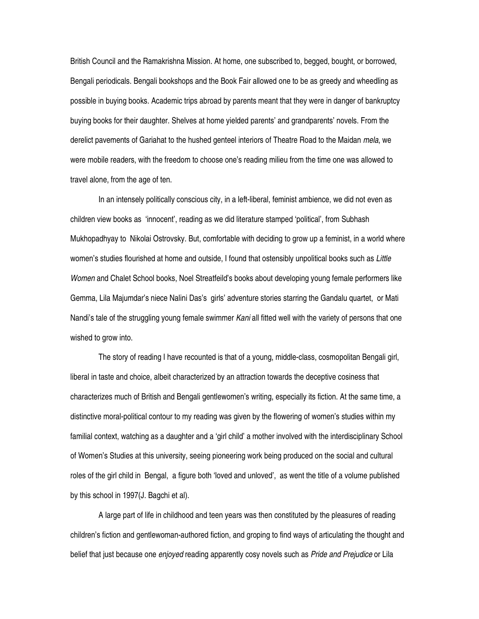British Council and the Ramakrishna Mission. At home, one subscribed to, begged, bought, or borrowed, Bengali periodicals. Bengali bookshops and the Book Fair allowed one to be as greedy and wheedling as possible in buying books. Academic trips abroad by parents meant that they were in danger of bankruptcy buying books for their daughter. Shelves at home yielded parents' and grandparents' novels. From the derelict pavements of Gariahat to the hushed genteel interiors of Theatre Road to the Maidan *mela*, we were mobile readers, with the freedom to choose one's reading milieu from the time one was allowed to travel alone, from the age of ten.

In an intensely politically conscious city, in a left-liberal, feminist ambience, we did not even as children view books as 'innocent', reading as we did literature stamped 'political', from Subhash Mukhopadhyay to Nikolai Ostrovsky. But, comfortable with deciding to grow up a feminist, in a world where women's studies flourished at home and outside, I found that ostensibly unpolitical books such as *Little Women* and Chalet School books, Noel Streatfeild's books about developing young female performers like Gemma, Lila Majumdar's niece Nalini Das's girls' adventure stories starring the Gandalu quartet, or Mati Nandi's tale of the struggling young female swimmer *Kani* all fitted well with the variety of persons that one wished to grow into.

The story of reading I have recounted is that of a young, middle-class, cosmopolitan Bengali girl, liberal in taste and choice, albeit characterized by an attraction towards the deceptive cosiness that characterizes much of British and Bengali gentlewomen's writing, especially its fiction. At the same time, a distinctive moral-political contour to my reading was given by the flowering of women's studies within my familial context, watching as a daughter and a 'girl child' a mother involved with the interdisciplinary School of Women's Studies at this university, seeing pioneering work being produced on the social and cultural roles of the girl child in Bengal, a figure both 'loved and unloved', as went the title of a volume published by this school in 1997(J. Bagchi et al).

A large part of life in childhood and teen years was then constituted by the pleasures of reading children's fiction and gentlewoman-authored fiction, and groping to find ways of articulating the thought and belief that just because one *enjoyed* reading apparently cosy novels such as *Pride and Prejudice* or Lila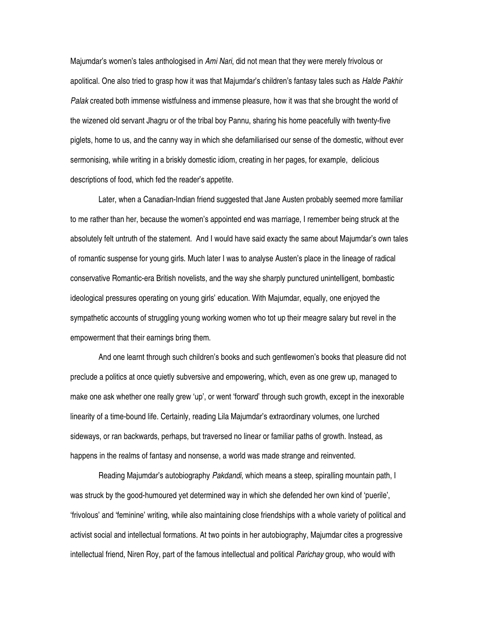Majumdar's women's tales anthologised in *Ami Nari*, did not mean that they were merely frivolous or apolitical. One also tried to grasp how it was that Majumdar's children's fantasy tales such as *Halde Pakhir Palak* created both immense wistfulness and immense pleasure, how it was that she brought the world of the wizened old servant Jhagru or of the tribal boy Pannu, sharing his home peacefully with twenty-five piglets, home to us, and the canny way in which she defamiliarised our sense of the domestic, without ever sermonising, while writing in a briskly domestic idiom, creating in her pages, for example, delicious descriptions of food, which fed the reader's appetite.

Later, when a Canadian-Indian friend suggested that Jane Austen probably seemed more familiar to me rather than her, because the women's appointed end was marriage, I remember being struck at the absolutely felt untruth of the statement. And I would have said exacty the same about Majumdar's own tales of romantic suspense for young girls. Much later I was to analyse Austen's place in the lineage of radical conservative Romantic-era British novelists, and the way she sharply punctured unintelligent, bombastic ideological pressures operating on young girls' education. With Majumdar, equally, one enjoyed the sympathetic accounts of struggling young working women who tot up their meagre salary but revel in the empowerment that their earnings bring them.

And one learnt through such children's books and such gentlewomen's books that pleasure did not preclude a politics at once quietly subversive and empowering, which, even as one grew up, managed to make one ask whether one really grew 'up', or went 'forward' through such growth, except in the inexorable linearity of a time-bound life. Certainly, reading Lila Majumdar's extraordinary volumes, one lurched sideways, or ran backwards, perhaps, but traversed no linear or familiar paths of growth. Instead, as happens in the realms of fantasy and nonsense, a world was made strange and reinvented.

Reading Majumdar's autobiography *Pakdandi*, which means a steep, spiralling mountain path, I was struck by the good-humoured yet determined way in which she defended her own kind of 'puerile', 'frivolous' and 'feminine' writing, while also maintaining close friendships with a whole variety of political and activist social and intellectual formations. At two points in her autobiography, Majumdar cites a progressive intellectual friend, Niren Roy, part of the famous intellectual and political *Parichay* group, who would with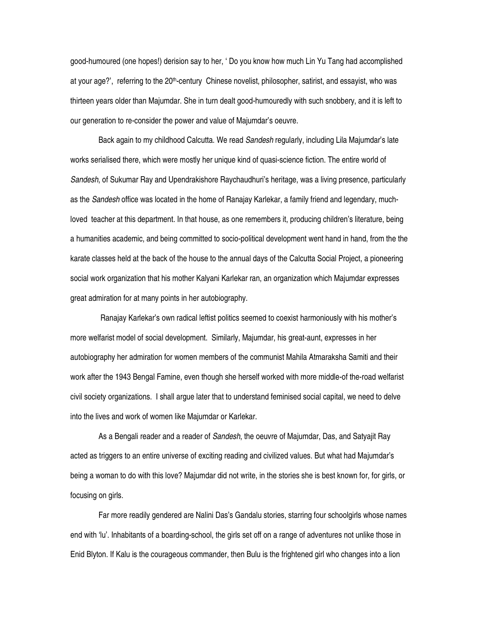good-humoured (one hopes!) derision say to her, ' Do you know how much Lin Yu Tang had accomplished at your age?', referring to the 20<sup>th</sup>-century Chinese novelist, philosopher, satirist, and essayist, who was thirteen years older than Majumdar. She in turn dealt good-humouredly with such snobbery, and it is left to our generation to re-consider the power and value of Majumdar's oeuvre.

Back again to my childhood Calcutta. We read *Sandesh* regularly, including Lila Majumdar's late works serialised there, which were mostly her unique kind of quasi-science fiction. The entire world of *Sandesh*, of Sukumar Ray and Upendrakishore Raychaudhuri's heritage, was a living presence, particularly as the *Sandesh* office was located in the home of Ranajay Karlekar, a family friend and legendary, muchloved teacher at this department. In that house, as one remembers it, producing children's literature, being a humanities academic, and being committed to socio-political development went hand in hand, from the the karate classes held at the back of the house to the annual days of the Calcutta Social Project, a pioneering social work organization that his mother Kalyani Karlekar ran, an organization which Majumdar expresses great admiration for at many points in her autobiography.

Ranajay Karlekar's own radical leftist politics seemed to coexist harmoniously with his mother's more welfarist model of social development. Similarly, Majumdar, his great-aunt, expresses in her autobiography her admiration for women members of the communist Mahila Atmaraksha Samiti and their work after the 1943 Bengal Famine, even though she herself worked with more middle-of the-road welfarist civil society organizations. I shall argue later that to understand feminised social capital, we need to delve into the lives and work of women like Majumdar or Karlekar.

As a Bengali reader and a reader of *Sandesh*, the oeuvre of Majumdar, Das, and Satyajit Ray acted as triggers to an entire universe of exciting reading and civilized values. But what had Majumdar's being a woman to do with this love? Majumdar did not write, in the stories she is best known for, for girls, or focusing on girls.

Far more readily gendered are Nalini Das's Gandalu stories, starring four schoolgirls whose names end with 'lu'. Inhabitants of a boarding-school, the girls set off on a range of adventures not unlike those in Enid Blyton. If Kalu is the courageous commander, then Bulu is the frightened girl who changes into a lion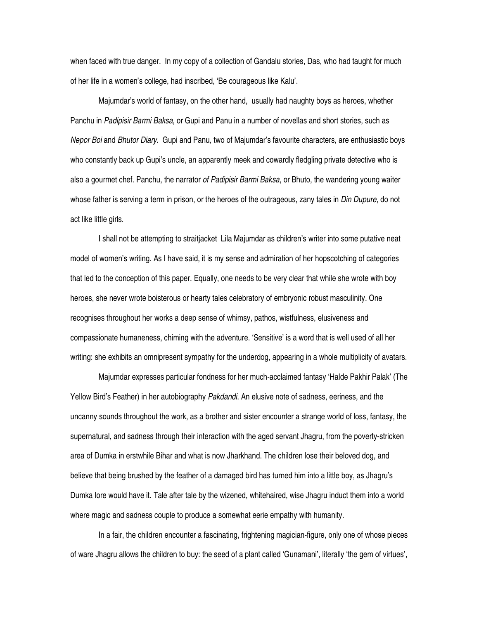when faced with true danger. In my copy of a collection of Gandalu stories, Das, who had taught for much of her life in a women's college, had inscribed, 'Be courageous like Kalu'.

Majumdar's world of fantasy, on the other hand, usually had naughty boys as heroes, whether Panchu in *Padipisir Barmi Baksa*, or Gupi and Panu in a number of novellas and short stories, such as *Nepor Boi* and *Bhutor Diary*. Gupi and Panu, two of Majumdar's favourite characters, are enthusiastic boys who constantly back up Gupi's uncle, an apparently meek and cowardly fledgling private detective who is also a gourmet chef. Panchu, the narrator *of Padipisir Barmi Baksa*, or Bhuto, the wandering young waiter whose father is serving a term in prison, or the heroes of the outrageous, zany tales in *Din Dupure*, do not act like little girls.

I shall not be attempting to straitjacket Lila Majumdar as children's writer into some putative neat model of women's writing. As I have said, it is my sense and admiration of her hopscotching of categories that led to the conception of this paper. Equally, one needs to be very clear that while she wrote with boy heroes, she never wrote boisterous or hearty tales celebratory of embryonic robust masculinity. One recognises throughout her works a deep sense of whimsy, pathos, wistfulness, elusiveness and compassionate humaneness, chiming with the adventure. 'Sensitive' is a word that is well used of all her writing: she exhibits an omnipresent sympathy for the underdog, appearing in a whole multiplicity of avatars.

Majumdar expresses particular fondness for her much-acclaimed fantasy 'Halde Pakhir Palak' (The Yellow Bird's Feather) in her autobiography *Pakdandi*. An elusive note of sadness, eeriness, and the uncanny sounds throughout the work, as a brother and sister encounter a strange world of loss, fantasy, the supernatural, and sadness through their interaction with the aged servant Jhagru, from the poverty-stricken area of Dumka in erstwhile Bihar and what is now Jharkhand. The children lose their beloved dog, and believe that being brushed by the feather of a damaged bird has turned him into a little boy, as Jhagru's Dumka lore would have it. Tale after tale by the wizened, whitehaired, wise Jhagru induct them into a world where magic and sadness couple to produce a somewhat eerie empathy with humanity.

In a fair, the children encounter a fascinating, frightening magician-figure, only one of whose pieces of ware Jhagru allows the children to buy: the seed of a plant called 'Gunamani', literally 'the gem of virtues',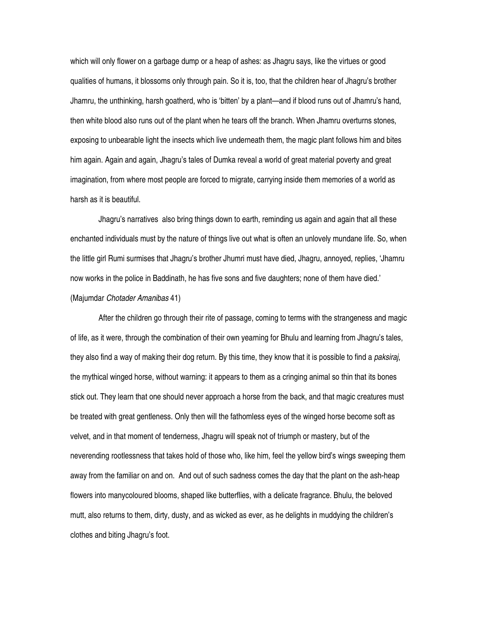which will only flower on a garbage dump or a heap of ashes: as Jhagru says, like the virtues or good qualities of humans, it blossoms only through pain. So it is, too, that the children hear of Jhagru's brother Jhamru, the unthinking, harsh goatherd, who is 'bitten' by a plant—and if blood runs out of Jhamru's hand, then white blood also runs out of the plant when he tears off the branch. When Jhamru overturns stones, exposing to unbearable light the insects which live underneath them, the magic plant follows him and bites him again. Again and again, Jhagru's tales of Dumka reveal a world of great material poverty and great imagination, from where most people are forced to migrate, carrying inside them memories of a world as harsh as it is beautiful.

Jhagru's narratives also bring things down to earth, reminding us again and again that all these enchanted individuals must by the nature of things live out what is often an unlovely mundane life. So, when the little girl Rumi surmises that Jhagru's brother Jhumri must have died, Jhagru, annoyed, replies, 'Jhamru now works in the police in Baddinath, he has five sons and five daughters; none of them have died.' (Majumdar *Chotader Amanibas* 41)

After the children go through their rite of passage, coming to terms with the strangeness and magic of life, as it were, through the combination of their own yearning for Bhulu and learning from Jhagru's tales, they also find a way of making their dog return. By this time, they know that it is possible to find a *paksiraj*, the mythical winged horse, without warning: it appears to them as a cringing animal so thin that its bones stick out. They learn that one should never approach a horse from the back, and that magic creatures must be treated with great gentleness. Only then will the fathomless eyes of the winged horse become soft as velvet, and in that moment of tenderness, Jhagru will speak not of triumph or mastery, but of the neverending rootlessness that takes hold of those who, like him, feel the yellow bird's wings sweeping them away from the familiar on and on. And out of such sadness comes the day that the plant on the ash-heap flowers into manycoloured blooms, shaped like butterflies, with a delicate fragrance. Bhulu, the beloved mutt, also returns to them, dirty, dusty, and as wicked as ever, as he delights in muddying the children's clothes and biting Jhagru's foot.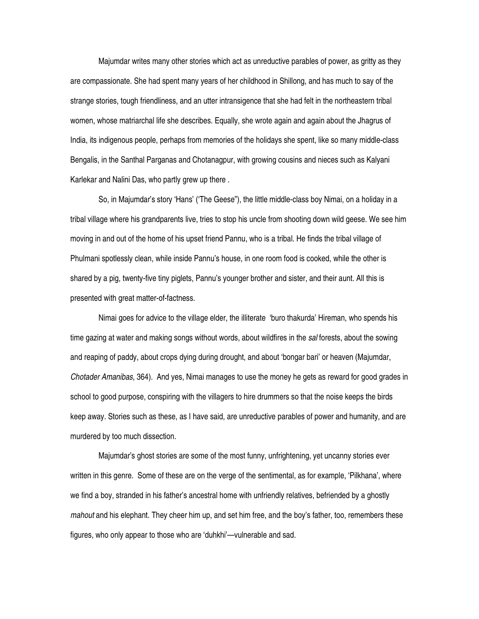Majumdar writes many other stories which act as unreductive parables of power, as gritty as they are compassionate. She had spent many years of her childhood in Shillong, and has much to say of the strange stories, tough friendliness, and an utter intransigence that she had felt in the northeastern tribal women, whose matriarchal life she describes. Equally, she wrote again and again about the Jhagrus of India, its indigenous people, perhaps from memories of the holidays she spent, like so many middle-class Bengalis, in the Santhal Parganas and Chotanagpur, with growing cousins and nieces such as Kalyani Karlekar and Nalini Das, who partly grew up there .

So, in Majumdar's story 'Hans' ('The Geese"), the little middle-class boy Nimai, on a holiday in a tribal village where his grandparents live, tries to stop his uncle from shooting down wild geese. We see him moving in and out of the home of his upset friend Pannu, who is a tribal. He finds the tribal village of Phulmani spotlessly clean, while inside Pannu's house, in one room food is cooked, while the other is shared by a pig, twenty-five tiny piglets, Pannu's younger brother and sister, and their aunt. All this is presented with great matter-of-factness.

Nimai goes for advice to the village elder, the illiterate 'buro thakurda' Hireman, who spends his time gazing at water and making songs without words, about wildfires in the *sal* forests, about the sowing and reaping of paddy, about crops dying during drought, and about 'bongar bari' or heaven (Majumdar, *Chotader Amanibas*, 364). And yes, Nimai manages to use the money he gets as reward for good grades in school to good purpose, conspiring with the villagers to hire drummers so that the noise keeps the birds keep away. Stories such as these, as I have said, are unreductive parables of power and humanity, and are murdered by too much dissection.

Majumdar's ghost stories are some of the most funny, unfrightening, yet uncanny stories ever written in this genre. Some of these are on the verge of the sentimental, as for example, 'Pilkhana', where we find a boy, stranded in his father's ancestral home with unfriendly relatives, befriended by a ghostly *mahout* and his elephant. They cheer him up, and set him free, and the boy's father, too, remembers these figures, who only appear to those who are 'duhkhi'—vulnerable and sad.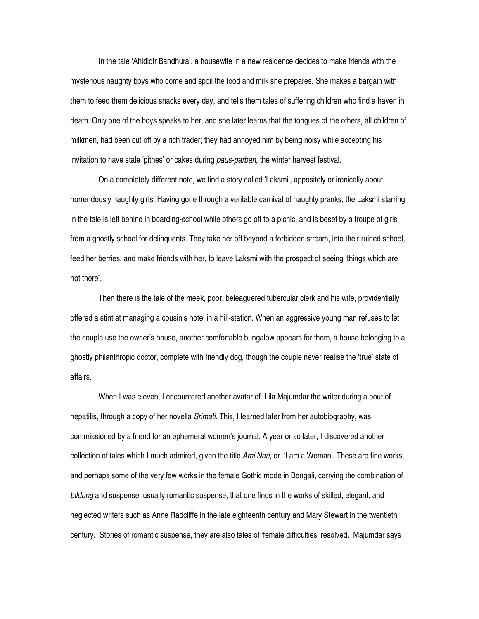In the tale 'Ahididir Bandhura', a housewife in a new residence decides to make friends with the mysterious naughty boys who come and spoil the food and milk she prepares. She makes a bargain with them to feed them delicious snacks every day, and tells them tales of suffering children who find a haven in death. Only one of the boys speaks to her, and she later learns that the tongues of the others, all children of milkmen, had been cut off by a rich trader; they had annoyed him by being noisy while accepting his invitation to have stale 'pithes' or cakes during *paus-parban*, the winter harvest festival.

On a completely different note, we find a story called 'Laksmi', appositely or ironically about horrendously naughty girls. Having gone through a veritable carnival of naughty pranks, the Laksmi starring in the tale is left behind in boarding-school while others go off to a picnic, and is beset by a troupe of girls from a ghostly school for delinquents. They take her off beyond a forbidden stream, into their ruined school, feed her berries, and make friends with her, to leave Laksmi with the prospect of seeing 'things which are not there'.

Then there is the tale of the meek, poor, beleaguered tubercular clerk and his wife, providentially offered a stint at managing a cousin's hotel in a hill-station. When an aggressive young man refuses to let the couple use the owner's house, another comfortable bungalow appears for them, a house belonging to a ghostly philanthropic doctor, complete with friendly dog, though the couple never realise the 'true' state of affairs.

When I was eleven, I encountered another avatar of Lila Majumdar the writer during a bout of hepatitis, through a copy of her novella *Srimati*. This, I learned later from her autobiography, was commissioned by a friend for an ephemeral women's journal. A year or so later, I discovered another collection of tales which I much admired, given the title *Ami Nari*, or 'I am a Woman'. These are fine works, and perhaps some of the very few works in the female Gothic mode in Bengali, carrying the combination of *bildung* and suspense, usually romantic suspense, that one finds in the works of skilled, elegant, and neglected writers such as Anne Radcliffe in the late eighteenth century and Mary Stewart in the twentieth century. Stories of romantic suspense, they are also tales of 'female difficulties' resolved. Majumdar says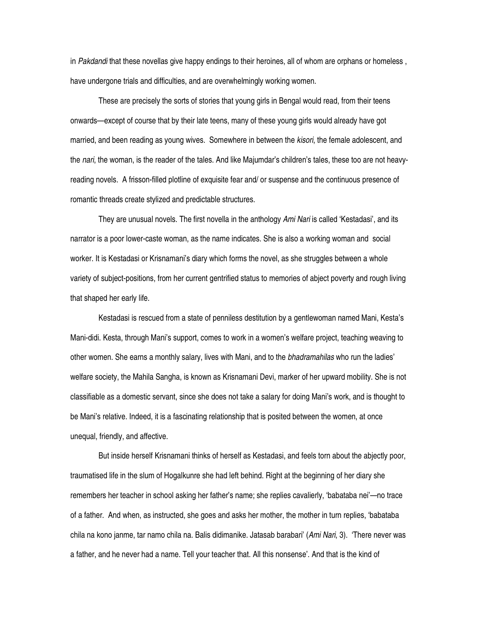in *Pakdandi* that these novellas give happy endings to their heroines, all of whom are orphans or homeless , have undergone trials and difficulties, and are overwhelmingly working women.

These are precisely the sorts of stories that young girls in Bengal would read, from their teens onwards—except of course that by their late teens, many of these young girls would already have got married, and been reading as young wives. Somewhere in between the *kisori*, the female adolescent, and the *nari*, the woman, is the reader of the tales. And like Majumdar's children's tales, these too are not heavyreading novels. A frisson-filled plotline of exquisite fear and/ or suspense and the continuous presence of romantic threads create stylized and predictable structures.

They are unusual novels. The first novella in the anthology *Ami Nari* is called 'Kestadasi', and its narrator is a poor lower-caste woman, as the name indicates. She is also a working woman and social worker. It is Kestadasi or Krisnamani's diary which forms the novel, as she struggles between a whole variety of subject-positions, from her current gentrified status to memories of abject poverty and rough living that shaped her early life.

Kestadasi is rescued from a state of penniless destitution by a gentlewoman named Mani, Kesta's Mani-didi. Kesta, through Mani's support, comes to work in a women's welfare project, teaching weaving to other women. She earns a monthly salary, lives with Mani, and to the *bhadramahilas* who run the ladies' welfare society, the Mahila Sangha, is known as Krisnamani Devi, marker of her upward mobility. She is not classifiable as a domestic servant, since she does not take a salary for doing Mani's work, and is thought to be Mani's relative. Indeed, it is a fascinating relationship that is posited between the women, at once unequal, friendly, and affective.

But inside herself Krisnamani thinks of herself as Kestadasi, and feels torn about the abjectly poor, traumatised life in the slum of Hogalkunre she had left behind. Right at the beginning of her diary she remembers her teacher in school asking her father's name; she replies cavalierly, 'babataba nei'—no trace of a father. And when, as instructed, she goes and asks her mother, the mother in turn replies, 'babataba chila na kono janme, tar namo chila na. Balis didimanike. Jatasab barabari' (*Ami Nari*, 3). 'There never was a father, and he never had a name. Tell your teacher that. All this nonsense'. And that is the kind of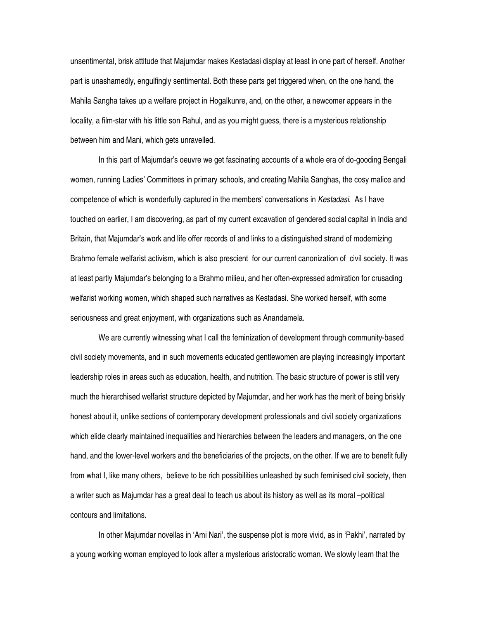unsentimental, brisk attitude that Majumdar makes Kestadasi display at least in one part of herself. Another part is unashamedly, engulfingly sentimental. Both these parts get triggered when, on the one hand, the Mahila Sangha takes up a welfare project in Hogalkunre, and, on the other, a newcomer appears in the locality, a film-star with his little son Rahul, and as you might guess, there is a mysterious relationship between him and Mani, which gets unravelled.

In this part of Majumdar's oeuvre we get fascinating accounts of a whole era of do-gooding Bengali women, running Ladies' Committees in primary schools, and creating Mahila Sanghas, the cosy malice and competence of which is wonderfully captured in the members' conversations in *Kestadasi*. As I have touched on earlier, I am discovering, as part of my current excavation of gendered social capital in India and Britain, that Majumdar's work and life offer records of and links to a distinguished strand of modernizing Brahmo female welfarist activism, which is also prescient for our current canonization of civil society. It was at least partly Majumdar's belonging to a Brahmo milieu, and her often-expressed admiration for crusading welfarist working women, which shaped such narratives as Kestadasi. She worked herself, with some seriousness and great enjoyment, with organizations such as Anandamela.

We are currently witnessing what I call the feminization of development through community-based civil society movements, and in such movements educated gentlewomen are playing increasingly important leadership roles in areas such as education, health, and nutrition. The basic structure of power is still very much the hierarchised welfarist structure depicted by Majumdar, and her work has the merit of being briskly honest about it, unlike sections of contemporary development professionals and civil society organizations which elide clearly maintained inequalities and hierarchies between the leaders and managers, on the one hand, and the lower-level workers and the beneficiaries of the projects, on the other. If we are to benefit fully from what I, like many others, believe to be rich possibilities unleashed by such feminised civil society, then a writer such as Majumdar has a great deal to teach us about its history as well as its moral –political contours and limitations.

In other Majumdar novellas in 'Ami Nari', the suspense plot is more vivid, as in 'Pakhi', narrated by a young working woman employed to look after a mysterious aristocratic woman. We slowly learn that the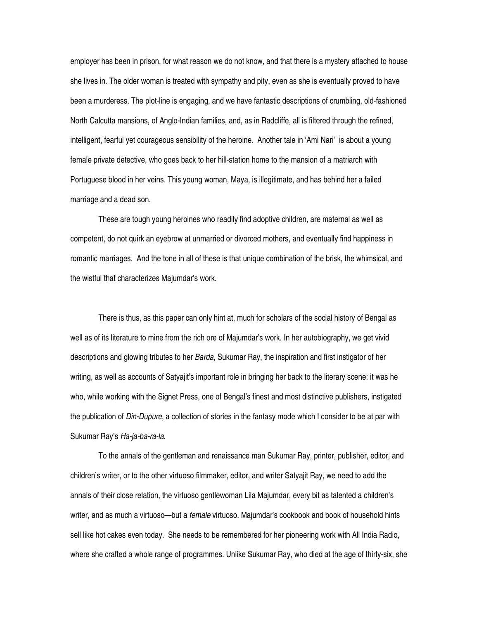employer has been in prison, for what reason we do not know, and that there is a mystery attached to house she lives in. The older woman is treated with sympathy and pity, even as she is eventually proved to have been a murderess. The plot-line is engaging, and we have fantastic descriptions of crumbling, old-fashioned North Calcutta mansions, of Anglo-Indian families, and, as in Radcliffe, all is filtered through the refined, intelligent, fearful yet courageous sensibility of the heroine. Another tale in 'Ami Nari' is about a young female private detective, who goes back to her hill-station home to the mansion of a matriarch with Portuguese blood in her veins. This young woman, Maya, is illegitimate, and has behind her a failed marriage and a dead son.

These are tough young heroines who readily find adoptive children, are maternal as well as competent, do not quirk an eyebrow at unmarried or divorced mothers, and eventually find happiness in romantic marriages. And the tone in all of these is that unique combination of the brisk, the whimsical, and the wistful that characterizes Majumdar's work.

There is thus, as this paper can only hint at, much for scholars of the social history of Bengal as well as of its literature to mine from the rich ore of Majumdar's work. In her autobiography, we get vivid descriptions and glowing tributes to her *Barda*, Sukumar Ray, the inspiration and first instigator of her writing, as well as accounts of Satyajit's important role in bringing her back to the literary scene: it was he who, while working with the Signet Press, one of Bengal's finest and most distinctive publishers, instigated the publication of *Din-Dupure*, a collection of stories in the fantasy mode which I consider to be at par with Sukumar Ray's *Ha-ja-ba-ra-la*.

To the annals of the gentleman and renaissance man Sukumar Ray, printer, publisher, editor, and children's writer, or to the other virtuoso filmmaker, editor, and writer Satyajit Ray, we need to add the annals of their close relation, the virtuoso gentlewoman Lila Majumdar, every bit as talented a children's writer, and as much a virtuoso—but a *female* virtuoso. Majumdar's cookbook and book of household hints sell like hot cakes even today. She needs to be remembered for her pioneering work with All India Radio, where she crafted a whole range of programmes. Unlike Sukumar Ray, who died at the age of thirty-six, she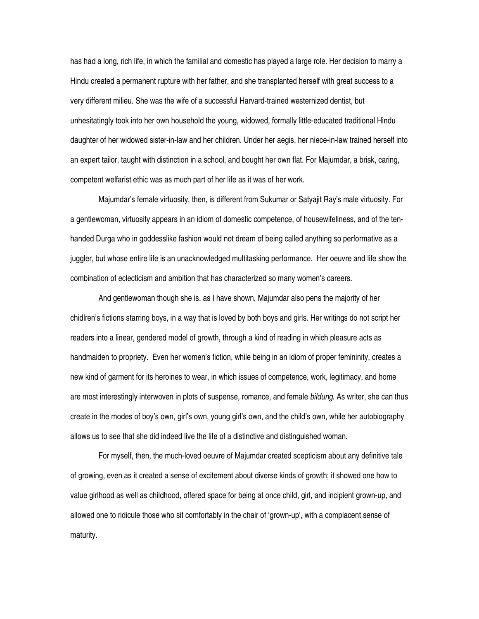has had a long, rich life, in which the familial and domestic has played a large role. Her decision to marry a Hindu created a permanent rupture with her father, and she transplanted herself with great success to a very different milieu. She was the wife of a successful Harvard-trained westernized dentist, but unhesitatingly took into her own household the young, widowed, formally little-educated traditional Hindu daughter of her widowed sister-in-law and her children. Under her aegis, her niece-in-law trained herself into an expert tailor, taught with distinction in a school, and bought her own flat. For Majumdar, a brisk, caring, competent welfarist ethic was as much part of her life as it was of her work.

Majumdar's female virtuosity, then, is different from Sukumar or Satyajit Ray's male virtuosity. For a gentlewoman, virtuosity appears in an idiom of domestic competence, of housewifeliness, and of the tenhanded Durga who in goddesslike fashion would not dream of being called anything so performative as a juggler, but whose entire life is an unacknowledged multitasking performance. Her oeuvre and life show the combination of eclecticism and ambition that has characterized so many women's careers.

And gentlewoman though she is, as I have shown, Majumdar also pens the majority of her chidlren's fictions starring boys, in a way that is loved by both boys and girls. Her writings do not script her readers into a linear, gendered model of growth, through a kind of reading in which pleasure acts as handmaiden to propriety. Even her women's fiction, while being in an idiom of proper femininity, creates a new kind of garment for its heroines to wear, in which issues of competence, work, legitimacy, and home are most interestingly interwoven in plots of suspense, romance, and female *bildung*. As writer, she can thus create in the modes of boy's own, girl's own, young girl's own, and the child's own, while her autobiography allows us to see that she did indeed live the life of a distinctive and distinguished woman.

For myself, then, the much-loved oeuvre of Majumdar created scepticism about any definitive tale of growing, even as it created a sense of excitement about diverse kinds of growth; it showed one how to value girlhood as well as childhood, offered space for being at once child, girl, and incipient grown-up, and allowed one to ridicule those who sit comfortably in the chair of 'grown-up', with a complacent sense of maturity.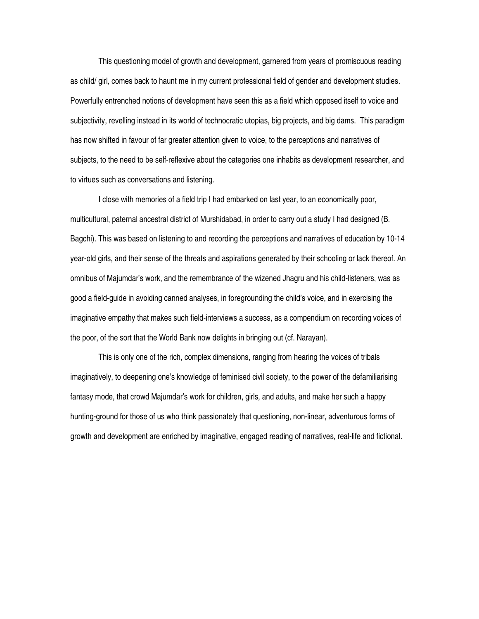This questioning model of growth and development, garnered from years of promiscuous reading as child/ girl, comes back to haunt me in my current professional field of gender and development studies. Powerfully entrenched notions of development have seen this as a field which opposed itself to voice and subjectivity, revelling instead in its world of technocratic utopias, big projects, and big dams. This paradigm has now shifted in favour of far greater attention given to voice, to the perceptions and narratives of subjects, to the need to be self-reflexive about the categories one inhabits as development researcher, and to virtues such as conversations and listening.

I close with memories of a field trip I had embarked on last year, to an economically poor, multicultural, paternal ancestral district of Murshidabad, in order to carry out a study I had designed (B. Bagchi). This was based on listening to and recording the perceptions and narratives of education by 10-14 year-old girls, and their sense of the threats and aspirations generated by their schooling or lack thereof. An omnibus of Majumdar's work, and the remembrance of the wizened Jhagru and his child-listeners, was as good a field-guide in avoiding canned analyses, in foregrounding the child's voice, and in exercising the imaginative empathy that makes such field-interviews a success, as a compendium on recording voices of the poor, of the sort that the World Bank now delights in bringing out (cf. Narayan).

This is only one of the rich, complex dimensions, ranging from hearing the voices of tribals imaginatively, to deepening one's knowledge of feminised civil society, to the power of the defamiliarising fantasy mode, that crowd Majumdar's work for children, girls, and adults, and make her such a happy hunting-ground for those of us who think passionately that questioning, non-linear, adventurous forms of growth and development are enriched by imaginative, engaged reading of narratives, real-life and fictional.